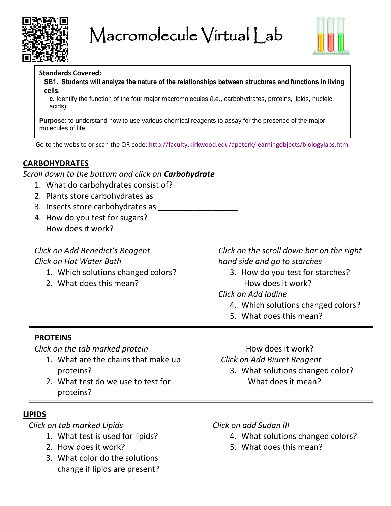



#### **Standards Covered:**

 **SB1. Students will analyze the nature of the relationships between structures and functions in living cells.**

j

**c.** Identify the function of the four major macromolecules (i.e., carbohydrates, proteins, lipids, nucleic acids).

**Purpose**: to understand how to use various chemical reagents to assay for the presence of the major molecules of life.

Go to the website or scan the QR code:<http://faculty.kirkwood.edu/apeterk/learningobjects/biologylabs.htm>

# **CARBOHYDRATES**

*Scroll down to the bottom and click on Carbohydrate*

- 1. What do carbohydrates consist of?
- 2. Plants store carbohydrates as
- 3. Insects store carbohydrates as
- 4. How do you test for sugars? How does it work?

*Click on Add Benedict's Reagent Click on Hot Water Bath*

- 1. Which solutions changed colors?
- 2. What does this mean?

*Click on the scroll down bar on the right hand side and go to starches*

3. How do you test for starches? How does it work?

#### *Click on Add Iodine*

- 4. Which solutions changed colors?
- 5. What does this mean?

# **PROTEINS**

*Click on the tab marked protein*

- 1. What are the chains that make up proteins?
- 2. What test do we use to test for proteins?

 How does it work?  *Click on Add Biuret Reagent*

3. What solutions changed color? What does it mean?

#### **LIPIDS**

*Click on tab marked Lipids*

- 1. What test is used for lipids?
- 2. How does it work?
- 3. What color do the solutions change if lipids are present?

*Click on add Sudan III*

- 4. What solutions changed colors?
- 5. What does this mean?